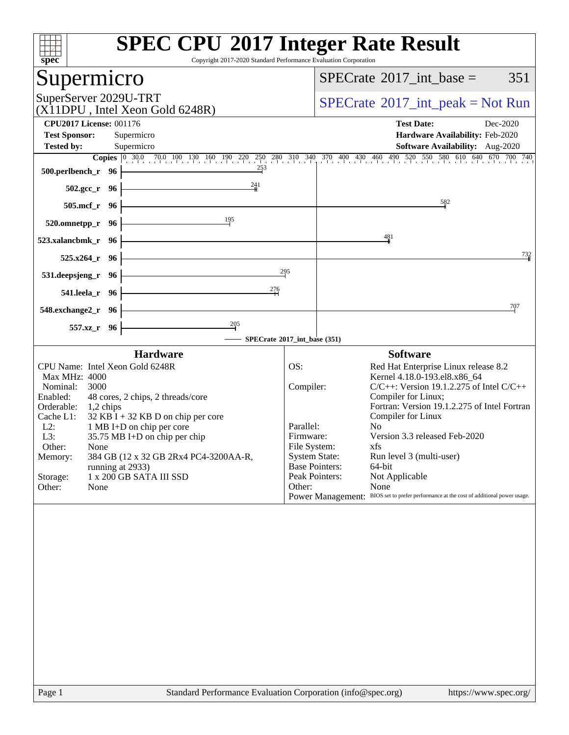| Copyright 2017-2020 Standard Performance Evaluation Corporation<br>$Spec^*$                                                                                                                                                                                                                                                                                                                                                                               | <b>SPEC CPU®2017 Integer Rate Result</b>                                                                                                                                                                                                                                                                                                                                                                                                                                                                                                                                                                                                                                                                                                                                                                             |
|-----------------------------------------------------------------------------------------------------------------------------------------------------------------------------------------------------------------------------------------------------------------------------------------------------------------------------------------------------------------------------------------------------------------------------------------------------------|----------------------------------------------------------------------------------------------------------------------------------------------------------------------------------------------------------------------------------------------------------------------------------------------------------------------------------------------------------------------------------------------------------------------------------------------------------------------------------------------------------------------------------------------------------------------------------------------------------------------------------------------------------------------------------------------------------------------------------------------------------------------------------------------------------------------|
| Supermicro                                                                                                                                                                                                                                                                                                                                                                                                                                                | $SPECrate^{\circledast}2017\_int\_base =$<br>351                                                                                                                                                                                                                                                                                                                                                                                                                                                                                                                                                                                                                                                                                                                                                                     |
| SuperServer 2029U-TRT<br>(X11DPU, Intel Xeon Gold 6248R)                                                                                                                                                                                                                                                                                                                                                                                                  | $SPECrate^{\circledast}2017\_int\_peak = Not Run$                                                                                                                                                                                                                                                                                                                                                                                                                                                                                                                                                                                                                                                                                                                                                                    |
| <b>CPU2017 License: 001176</b><br><b>Test Sponsor:</b><br>Supermicro                                                                                                                                                                                                                                                                                                                                                                                      | <b>Test Date:</b><br>Dec-2020<br>Hardware Availability: Feb-2020                                                                                                                                                                                                                                                                                                                                                                                                                                                                                                                                                                                                                                                                                                                                                     |
| <b>Tested by:</b><br>Supermicro                                                                                                                                                                                                                                                                                                                                                                                                                           | <b>Software Availability:</b> Aug-2020                                                                                                                                                                                                                                                                                                                                                                                                                                                                                                                                                                                                                                                                                                                                                                               |
| $\frac{253}{2}$<br>500.perlbench_r 96                                                                                                                                                                                                                                                                                                                                                                                                                     | <b>Copies</b> 0 30.0 70.0 100 130 160 190 220 250 280 310 340 370 400 430 460 490 520 550 580 610 640 670 700 740                                                                                                                                                                                                                                                                                                                                                                                                                                                                                                                                                                                                                                                                                                    |
| $\frac{241}{4}$<br>$502.\text{gcc}_r$ 96                                                                                                                                                                                                                                                                                                                                                                                                                  |                                                                                                                                                                                                                                                                                                                                                                                                                                                                                                                                                                                                                                                                                                                                                                                                                      |
| <u> 1980 - Johann Barn, amerikan besteman besteman besteman besteman besteman besteman besteman besteman besteman</u><br>505.mcf_r 96<br>$\begin{array}{c c}\n & 195 \\ \hline\n\end{array}$                                                                                                                                                                                                                                                              | 582                                                                                                                                                                                                                                                                                                                                                                                                                                                                                                                                                                                                                                                                                                                                                                                                                  |
| 520.omnetpp_r 96                                                                                                                                                                                                                                                                                                                                                                                                                                          | 481                                                                                                                                                                                                                                                                                                                                                                                                                                                                                                                                                                                                                                                                                                                                                                                                                  |
| $523$ .xalancbmk_r 96<br><u> 1980 - Johann Barn, mars an t-Amerikaansk kommunister (</u><br>$525.x264$ <sub>r</sub> 96                                                                                                                                                                                                                                                                                                                                    | 732                                                                                                                                                                                                                                                                                                                                                                                                                                                                                                                                                                                                                                                                                                                                                                                                                  |
| 295<br><u> 1989 - Johann Barn, mars ann an t-Amhain Aonaich an t-Aonaich an t-Aonaich ann an t-Aonaich ann an t-Aonaich</u><br>$531.$ deepsjeng_r 96 $\vdash$                                                                                                                                                                                                                                                                                             |                                                                                                                                                                                                                                                                                                                                                                                                                                                                                                                                                                                                                                                                                                                                                                                                                      |
| $^{276}$<br><u> 1989 - Johann Barn, amerikansk politiker (</u><br>541.leela_r 96 -                                                                                                                                                                                                                                                                                                                                                                        |                                                                                                                                                                                                                                                                                                                                                                                                                                                                                                                                                                                                                                                                                                                                                                                                                      |
| <u> 1989 - Johann Barbara, martxa alemaniar a</u><br>$548$ .exchange $2\degree$ r 96                                                                                                                                                                                                                                                                                                                                                                      | 707                                                                                                                                                                                                                                                                                                                                                                                                                                                                                                                                                                                                                                                                                                                                                                                                                  |
| $\frac{205}{1}$<br>557.xz_r 96                                                                                                                                                                                                                                                                                                                                                                                                                            |                                                                                                                                                                                                                                                                                                                                                                                                                                                                                                                                                                                                                                                                                                                                                                                                                      |
| SPECrate®2017_int_base (351)                                                                                                                                                                                                                                                                                                                                                                                                                              |                                                                                                                                                                                                                                                                                                                                                                                                                                                                                                                                                                                                                                                                                                                                                                                                                      |
| <b>Hardware</b><br>CPU Name: Intel Xeon Gold 6248R<br>Max MHz: 4000<br>Nominal:<br>3000<br>48 cores, 2 chips, 2 threads/core<br>Enabled:<br>Orderable: 1,2 chips<br>Cache L1:<br>$32$ KB I + 32 KB D on chip per core<br>$L2$ :<br>1 MB I+D on chip per core<br>L3:<br>$35.75$ MB I+D on chip per chip<br>Other:<br>None<br>384 GB (12 x 32 GB 2Rx4 PC4-3200AA-R,<br>Memory:<br>running at 2933)<br>1 x 200 GB SATA III SSD<br>Storage:<br>Other:<br>None | <b>Software</b><br>OS:<br>Red Hat Enterprise Linux release 8.2<br>Kernel 4.18.0-193.el8.x86_64<br>Compiler:<br>$C/C++$ : Version 19.1.2.275 of Intel $C/C++$<br>Compiler for Linux;<br>Fortran: Version 19.1.2.275 of Intel Fortran<br>Compiler for Linux<br>No<br>Parallel:<br>Version 3.3 released Feb-2020<br>Firmware:<br>File System:<br>xfs and the set of the set of the set of the set of the set of the set of the set of the set of the set of the set of the set of the set of the set of the set of the set of the set of the set of the set of the set of the s<br><b>System State:</b><br>Run level 3 (multi-user)<br><b>Base Pointers:</b><br>64-bit<br>Peak Pointers:<br>Not Applicable<br>Other:<br>None<br>Power Management: BIOS set to prefer performance at the cost of additional power usage. |
|                                                                                                                                                                                                                                                                                                                                                                                                                                                           |                                                                                                                                                                                                                                                                                                                                                                                                                                                                                                                                                                                                                                                                                                                                                                                                                      |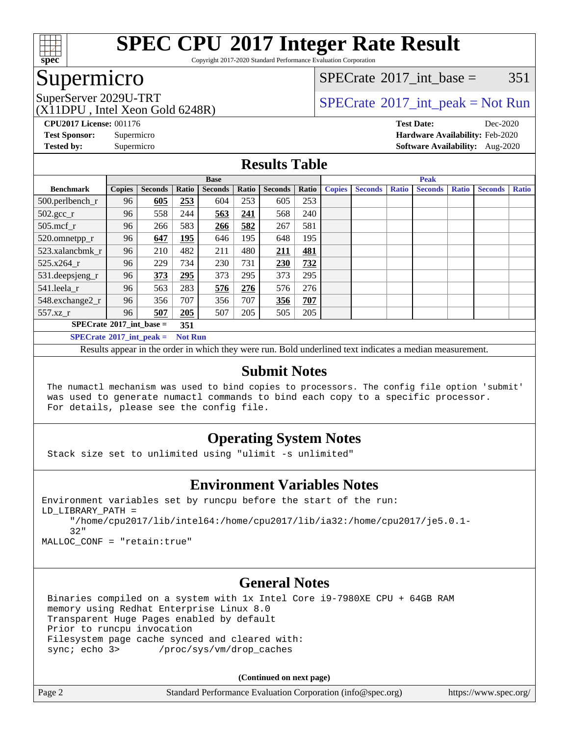

Copyright 2017-2020 Standard Performance Evaluation Corporation

# Supermicro

[SPECrate](http://www.spec.org/auto/cpu2017/Docs/result-fields.html#SPECrate2017intbase)<sup>®</sup>2017 int base =  $351$ 

(X11DPU , Intel Xeon Gold 6248R)

SuperServer 2029U-TRT  $SPECrate^{\circ}2017$  $SPECrate^{\circ}2017$ \_int\_peak = Not Run

**[CPU2017 License:](http://www.spec.org/auto/cpu2017/Docs/result-fields.html#CPU2017License)** 001176 **[Test Date:](http://www.spec.org/auto/cpu2017/Docs/result-fields.html#TestDate)** Dec-2020 **[Test Sponsor:](http://www.spec.org/auto/cpu2017/Docs/result-fields.html#TestSponsor)** Supermicro **[Hardware Availability:](http://www.spec.org/auto/cpu2017/Docs/result-fields.html#HardwareAvailability)** Feb-2020 **[Tested by:](http://www.spec.org/auto/cpu2017/Docs/result-fields.html#Testedby)** Supermicro **[Software Availability:](http://www.spec.org/auto/cpu2017/Docs/result-fields.html#SoftwareAvailability)** Aug-2020

### **[Results Table](http://www.spec.org/auto/cpu2017/Docs/result-fields.html#ResultsTable)**

|                                                     | <b>Base</b>   |                |       |                |       |                | <b>Peak</b> |               |                |              |                |              |                |              |
|-----------------------------------------------------|---------------|----------------|-------|----------------|-------|----------------|-------------|---------------|----------------|--------------|----------------|--------------|----------------|--------------|
| <b>Benchmark</b>                                    | <b>Copies</b> | <b>Seconds</b> | Ratio | <b>Seconds</b> | Ratio | <b>Seconds</b> | Ratio       | <b>Copies</b> | <b>Seconds</b> | <b>Ratio</b> | <b>Seconds</b> | <b>Ratio</b> | <b>Seconds</b> | <b>Ratio</b> |
| 500.perlbench_r                                     | 96            | 605            | 253   | 604            | 253   | 605            | 253         |               |                |              |                |              |                |              |
| $502.\text{gcc}$ _r                                 | 96            | 558            | 244   | 563            | 241   | 568            | 240         |               |                |              |                |              |                |              |
| $505$ .mcf r                                        | 96            | 266            | 583   | 266            | 582   | 267            | 581         |               |                |              |                |              |                |              |
| 520.omnetpp_r                                       | 96            | 647            | 195   | 646            | 195   | 648            | 195         |               |                |              |                |              |                |              |
| 523.xalancbmk r                                     | 96            | 210            | 482   | 211            | 480   | 211            | 481         |               |                |              |                |              |                |              |
| 525.x264 r                                          | 96            | 229            | 734   | 230            | 731   | 230            | 732         |               |                |              |                |              |                |              |
| $531.$ deepsjeng $_r$                               | 96            | 373            | 295   | 373            | 295   | 373            | 295         |               |                |              |                |              |                |              |
| 541.leela r                                         | 96            | 563            | 283   | 576            | 276   | 576            | 276         |               |                |              |                |              |                |              |
| 548.exchange2_r                                     | 96            | 356            | 707   | 356            | 707   | 356            | 707         |               |                |              |                |              |                |              |
| 557.xz                                              | 96            | 507            | 205   | 507            | 205   | 505            | 205         |               |                |              |                |              |                |              |
| $SPECrate^{\circ}2017$ int base =<br>351            |               |                |       |                |       |                |             |               |                |              |                |              |                |              |
| $SPECrate^{\circ}2017$ int peak =<br><b>Not Run</b> |               |                |       |                |       |                |             |               |                |              |                |              |                |              |

Results appear in the [order in which they were run](http://www.spec.org/auto/cpu2017/Docs/result-fields.html#RunOrder). Bold underlined text [indicates a median measurement](http://www.spec.org/auto/cpu2017/Docs/result-fields.html#Median).

### **[Submit Notes](http://www.spec.org/auto/cpu2017/Docs/result-fields.html#SubmitNotes)**

 The numactl mechanism was used to bind copies to processors. The config file option 'submit' was used to generate numactl commands to bind each copy to a specific processor. For details, please see the config file.

### **[Operating System Notes](http://www.spec.org/auto/cpu2017/Docs/result-fields.html#OperatingSystemNotes)**

Stack size set to unlimited using "ulimit -s unlimited"

### **[Environment Variables Notes](http://www.spec.org/auto/cpu2017/Docs/result-fields.html#EnvironmentVariablesNotes)**

```
Environment variables set by runcpu before the start of the run:
LD_LIBRARY_PATH =
      "/home/cpu2017/lib/intel64:/home/cpu2017/lib/ia32:/home/cpu2017/je5.0.1-
      32"
```
MALLOC\_CONF = "retain:true"

### **[General Notes](http://www.spec.org/auto/cpu2017/Docs/result-fields.html#GeneralNotes)**

 Binaries compiled on a system with 1x Intel Core i9-7980XE CPU + 64GB RAM memory using Redhat Enterprise Linux 8.0 Transparent Huge Pages enabled by default Prior to runcpu invocation Filesystem page cache synced and cleared with: sync; echo 3> /proc/sys/vm/drop\_caches

**(Continued on next page)**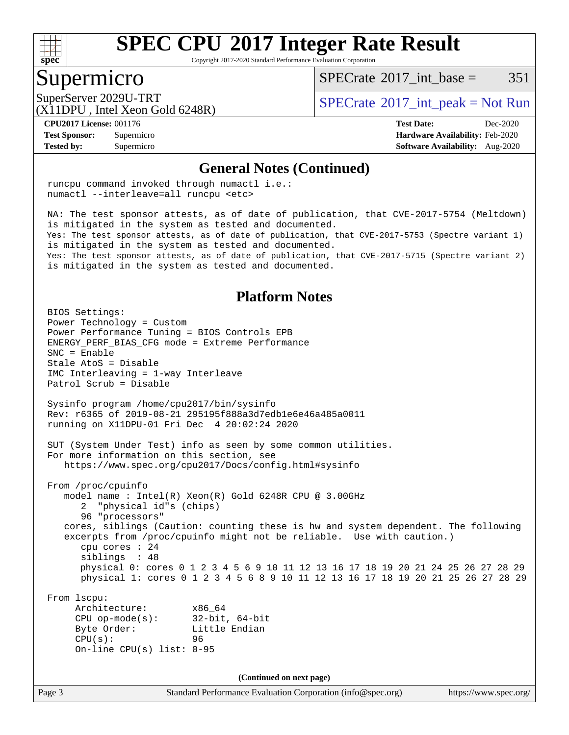

Copyright 2017-2020 Standard Performance Evaluation Corporation

### Supermicro

[SPECrate](http://www.spec.org/auto/cpu2017/Docs/result-fields.html#SPECrate2017intbase)<sup>®</sup>2017 int base =  $351$ 

(X11DPU , Intel Xeon Gold 6248R)

SuperServer 2029U-TRT  $SPECrate^{\circ}2017$  $SPECrate^{\circ}2017$ \_int\_peak = Not Run

**[Tested by:](http://www.spec.org/auto/cpu2017/Docs/result-fields.html#Testedby)** Supermicro **[Software Availability:](http://www.spec.org/auto/cpu2017/Docs/result-fields.html#SoftwareAvailability)** Aug-2020

**[CPU2017 License:](http://www.spec.org/auto/cpu2017/Docs/result-fields.html#CPU2017License)** 001176 **[Test Date:](http://www.spec.org/auto/cpu2017/Docs/result-fields.html#TestDate)** Dec-2020 **[Test Sponsor:](http://www.spec.org/auto/cpu2017/Docs/result-fields.html#TestSponsor)** Supermicro **[Hardware Availability:](http://www.spec.org/auto/cpu2017/Docs/result-fields.html#HardwareAvailability)** Feb-2020

#### **[General Notes \(Continued\)](http://www.spec.org/auto/cpu2017/Docs/result-fields.html#GeneralNotes)**

 runcpu command invoked through numactl i.e.: numactl --interleave=all runcpu <etc>

 NA: The test sponsor attests, as of date of publication, that CVE-2017-5754 (Meltdown) is mitigated in the system as tested and documented. Yes: The test sponsor attests, as of date of publication, that CVE-2017-5753 (Spectre variant 1) is mitigated in the system as tested and documented. Yes: The test sponsor attests, as of date of publication, that CVE-2017-5715 (Spectre variant 2) is mitigated in the system as tested and documented.

### **[Platform Notes](http://www.spec.org/auto/cpu2017/Docs/result-fields.html#PlatformNotes)**

Page 3 Standard Performance Evaluation Corporation [\(info@spec.org\)](mailto:info@spec.org) <https://www.spec.org/> BIOS Settings: Power Technology = Custom Power Performance Tuning = BIOS Controls EPB ENERGY\_PERF\_BIAS\_CFG mode = Extreme Performance SNC = Enable Stale AtoS = Disable IMC Interleaving = 1-way Interleave Patrol Scrub = Disable Sysinfo program /home/cpu2017/bin/sysinfo Rev: r6365 of 2019-08-21 295195f888a3d7edb1e6e46a485a0011 running on X11DPU-01 Fri Dec 4 20:02:24 2020 SUT (System Under Test) info as seen by some common utilities. For more information on this section, see <https://www.spec.org/cpu2017/Docs/config.html#sysinfo> From /proc/cpuinfo model name : Intel(R) Xeon(R) Gold 6248R CPU @ 3.00GHz 2 "physical id"s (chips) 96 "processors" cores, siblings (Caution: counting these is hw and system dependent. The following excerpts from /proc/cpuinfo might not be reliable. Use with caution.) cpu cores : 24 siblings : 48 physical 0: cores 0 1 2 3 4 5 6 9 10 11 12 13 16 17 18 19 20 21 24 25 26 27 28 29 physical 1: cores 0 1 2 3 4 5 6 8 9 10 11 12 13 16 17 18 19 20 21 25 26 27 28 29 From lscpu: Architecture: x86\_64 CPU op-mode(s): 32-bit, 64-bit Byte Order: Little Endian CPU(s): 96 On-line CPU(s) list: 0-95 **(Continued on next page)**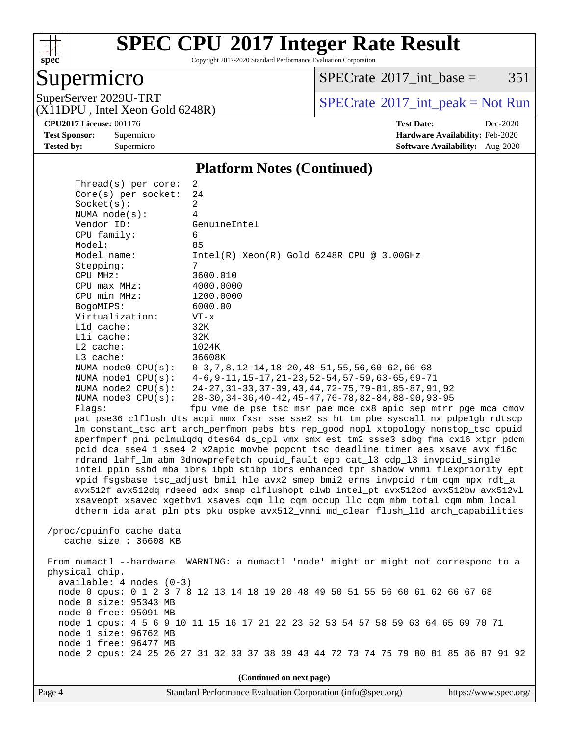

Copyright 2017-2020 Standard Performance Evaluation Corporation

# Supermicro

 $SPECTate@2017_int\_base = 351$ 

(X11DPU , Intel Xeon Gold 6248R)

SuperServer 2029U-TRT <br>(X11DPU Intel Xeon Gold 6248R) [SPECrate](http://www.spec.org/auto/cpu2017/Docs/result-fields.html#SPECrate2017intpeak)®[2017\\_int\\_peak = N](http://www.spec.org/auto/cpu2017/Docs/result-fields.html#SPECrate2017intpeak)ot Run

**[Tested by:](http://www.spec.org/auto/cpu2017/Docs/result-fields.html#Testedby)** Supermicro **Supermicro [Software Availability:](http://www.spec.org/auto/cpu2017/Docs/result-fields.html#SoftwareAvailability)** Aug-2020

**[CPU2017 License:](http://www.spec.org/auto/cpu2017/Docs/result-fields.html#CPU2017License)** 001176 **[Test Date:](http://www.spec.org/auto/cpu2017/Docs/result-fields.html#TestDate)** Dec-2020 **[Test Sponsor:](http://www.spec.org/auto/cpu2017/Docs/result-fields.html#TestSponsor)** Supermicro **[Hardware Availability:](http://www.spec.org/auto/cpu2017/Docs/result-fields.html#HardwareAvailability)** Feb-2020

#### **[Platform Notes \(Continued\)](http://www.spec.org/auto/cpu2017/Docs/result-fields.html#PlatformNotes)**

| Thread(s) per core:        | 2                                                                                    |  |  |  |  |  |
|----------------------------|--------------------------------------------------------------------------------------|--|--|--|--|--|
| Core(s) per socket:        | 24                                                                                   |  |  |  |  |  |
| Socket(s):                 | 2                                                                                    |  |  |  |  |  |
| NUMA $node(s):$            | 4                                                                                    |  |  |  |  |  |
| Vendor ID:                 | GenuineIntel                                                                         |  |  |  |  |  |
| CPU family:                | 6                                                                                    |  |  |  |  |  |
| Model:                     | 85                                                                                   |  |  |  |  |  |
| Model name:                | $Intel(R) Xeon(R) Gold 6248R CPU @ 3.00GHz$                                          |  |  |  |  |  |
| Stepping:                  | 7                                                                                    |  |  |  |  |  |
| CPU MHz:                   | 3600.010                                                                             |  |  |  |  |  |
| $CPU$ max $MHz$ :          | 4000.0000                                                                            |  |  |  |  |  |
| CPU min MHz:               | 1200.0000                                                                            |  |  |  |  |  |
| BogoMIPS:                  | 6000.00                                                                              |  |  |  |  |  |
| Virtualization:            | $VT - x$                                                                             |  |  |  |  |  |
| L1d cache:                 | 32K                                                                                  |  |  |  |  |  |
| Lli cache:                 | 32K                                                                                  |  |  |  |  |  |
| $L2$ cache:                | 1024K                                                                                |  |  |  |  |  |
| L3 cache:                  | 36608K                                                                               |  |  |  |  |  |
| NUMA node0 CPU(s):         | $0-3, 7, 8, 12-14, 18-20, 48-51, 55, 56, 60-62, 66-68$                               |  |  |  |  |  |
| NUMA $node1$ $CPU(s)$ :    | $4-6, 9-11, 15-17, 21-23, 52-54, 57-59, 63-65, 69-71$                                |  |  |  |  |  |
| NUMA $node2$ $CPU(s):$     | 24-27, 31-33, 37-39, 43, 44, 72-75, 79-81, 85-87, 91, 92                             |  |  |  |  |  |
| NUMA $node3$ $CPU(s)$ :    | 28-30, 34-36, 40-42, 45-47, 76-78, 82-84, 88-90, 93-95                               |  |  |  |  |  |
| Flaqs:                     | fpu vme de pse tsc msr pae mce cx8 apic sep mtrr pge mca cmov                        |  |  |  |  |  |
|                            | pat pse36 clflush dts acpi mmx fxsr sse sse2 ss ht tm pbe syscall nx pdpelgb rdtscp  |  |  |  |  |  |
|                            | lm constant_tsc art arch_perfmon pebs bts rep_good nopl xtopology nonstop_tsc cpuid  |  |  |  |  |  |
|                            | aperfmperf pni pclmulqdq dtes64 ds_cpl vmx smx est tm2 ssse3 sdbg fma cx16 xtpr pdcm |  |  |  |  |  |
|                            | pcid dca sse4_1 sse4_2 x2apic movbe popcnt tsc_deadline_timer aes xsave avx f16c     |  |  |  |  |  |
|                            | rdrand lahf_lm abm 3dnowprefetch cpuid_fault epb cat_13 cdp_13 invpcid_single        |  |  |  |  |  |
|                            | intel_ppin ssbd mba ibrs ibpb stibp ibrs_enhanced tpr_shadow vnmi flexpriority ept   |  |  |  |  |  |
|                            | vpid fsgsbase tsc_adjust bmil hle avx2 smep bmi2 erms invpcid rtm cqm mpx rdt_a      |  |  |  |  |  |
|                            | avx512f avx512dq rdseed adx smap clflushopt clwb intel_pt avx512cd avx512bw avx512vl |  |  |  |  |  |
|                            | xsaveopt xsavec xgetbvl xsaves cqm_llc cqm_occup_llc cqm_mbm_total cqm_mbm_local     |  |  |  |  |  |
|                            | dtherm ida arat pln pts pku ospke avx512_vnni md_clear flush_lld arch_capabilities   |  |  |  |  |  |
|                            |                                                                                      |  |  |  |  |  |
| /proc/cpuinfo cache data   |                                                                                      |  |  |  |  |  |
| cache size $: 36608$ KB    |                                                                                      |  |  |  |  |  |
|                            | From numactl --hardware WARNING: a numactl 'node' might or might not correspond to a |  |  |  |  |  |
| physical chip.             |                                                                                      |  |  |  |  |  |
| $available: 4 nodes (0-3)$ |                                                                                      |  |  |  |  |  |
|                            | node 0 cpus: 0 1 2 3 7 8 12 13 14 18 19 20 48 49 50 51 55 56 60 61 62 66 67 68       |  |  |  |  |  |
| node 0 size: 95343 MB      |                                                                                      |  |  |  |  |  |
| node 0 free: 95091 MB      |                                                                                      |  |  |  |  |  |
|                            | node 1 cpus: 4 5 6 9 10 11 15 16 17 21 22 23 52 53 54 57 58 59 63 64 65 69 70 71     |  |  |  |  |  |
| node 1 size: 96762 MB      |                                                                                      |  |  |  |  |  |
| node 1 free: 96477 MB      |                                                                                      |  |  |  |  |  |
|                            | node 2 cpus: 24 25 26 27 31 32 33 37 38 39 43 44 72 73 74 75 79 80 81 85 86 87 91 92 |  |  |  |  |  |
|                            |                                                                                      |  |  |  |  |  |
|                            | (Continued on next page)                                                             |  |  |  |  |  |
|                            |                                                                                      |  |  |  |  |  |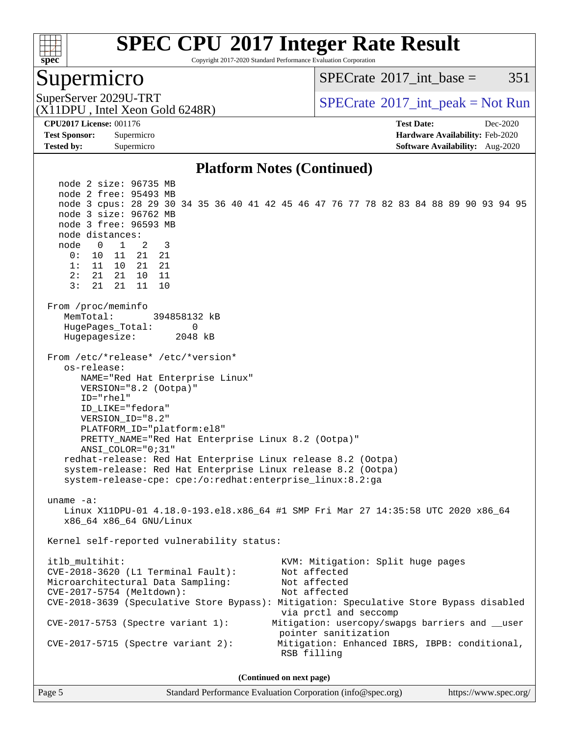

Copyright 2017-2020 Standard Performance Evaluation Corporation

### Supermicro

 $SPECTate$ <sup>®</sup>2017 int base = 351

(X11DPU , Intel Xeon Gold 6248R)

SuperServer 2029U-TRT  $SPECrate^{\circ}2017$  $SPECrate^{\circ}2017$ \_int\_peak = Not Run

**[Tested by:](http://www.spec.org/auto/cpu2017/Docs/result-fields.html#Testedby)** Supermicro **[Software Availability:](http://www.spec.org/auto/cpu2017/Docs/result-fields.html#SoftwareAvailability)** Aug-2020

**[CPU2017 License:](http://www.spec.org/auto/cpu2017/Docs/result-fields.html#CPU2017License)** 001176 **[Test Date:](http://www.spec.org/auto/cpu2017/Docs/result-fields.html#TestDate)** Dec-2020 **[Test Sponsor:](http://www.spec.org/auto/cpu2017/Docs/result-fields.html#TestSponsor)** Supermicro **[Hardware Availability:](http://www.spec.org/auto/cpu2017/Docs/result-fields.html#HardwareAvailability)** Feb-2020

### **[Platform Notes \(Continued\)](http://www.spec.org/auto/cpu2017/Docs/result-fields.html#PlatformNotes)**

 node 2 size: 96735 MB node 2 free: 95493 MB node 3 cpus: 28 29 30 34 35 36 40 41 42 45 46 47 76 77 78 82 83 84 88 89 90 93 94 95 node 3 size: 96762 MB node 3 free: 96593 MB node distances: node 0 1 2 3 0: 10 11 21 21 1: 11 10 21 21 2: 21 21 10 11 3: 21 21 11 10 From /proc/meminfo MemTotal: 394858132 kB HugePages\_Total: 0 Hugepagesize: 2048 kB From /etc/\*release\* /etc/\*version\* os-release: NAME="Red Hat Enterprise Linux" VERSION="8.2 (Ootpa)" ID="rhel" ID\_LIKE="fedora" VERSION\_ID="8.2" PLATFORM\_ID="platform:el8" PRETTY\_NAME="Red Hat Enterprise Linux 8.2 (Ootpa)" ANSI\_COLOR="0;31" redhat-release: Red Hat Enterprise Linux release 8.2 (Ootpa) system-release: Red Hat Enterprise Linux release 8.2 (Ootpa) system-release-cpe: cpe:/o:redhat:enterprise\_linux:8.2:ga uname -a: Linux X11DPU-01 4.18.0-193.el8.x86\_64 #1 SMP Fri Mar 27 14:35:58 UTC 2020 x86\_64 x86\_64 x86\_64 GNU/Linux Kernel self-reported vulnerability status: itlb\_multihit: KVM: Mitigation: Split huge pages<br>CVE-2018-3620 (L1 Terminal Fault): Not affected  $CVE-2018-3620$  (L1 Terminal Fault): Microarchitectural Data Sampling: Not affected CVE-2017-5754 (Meltdown): Not affected CVE-2018-3639 (Speculative Store Bypass): Mitigation: Speculative Store Bypass disabled via prctl and seccomp CVE-2017-5753 (Spectre variant 1): Mitigation: usercopy/swapgs barriers and \_\_user pointer sanitization CVE-2017-5715 (Spectre variant 2): Mitigation: Enhanced IBRS, IBPB: conditional, RSB filling **(Continued on next page)**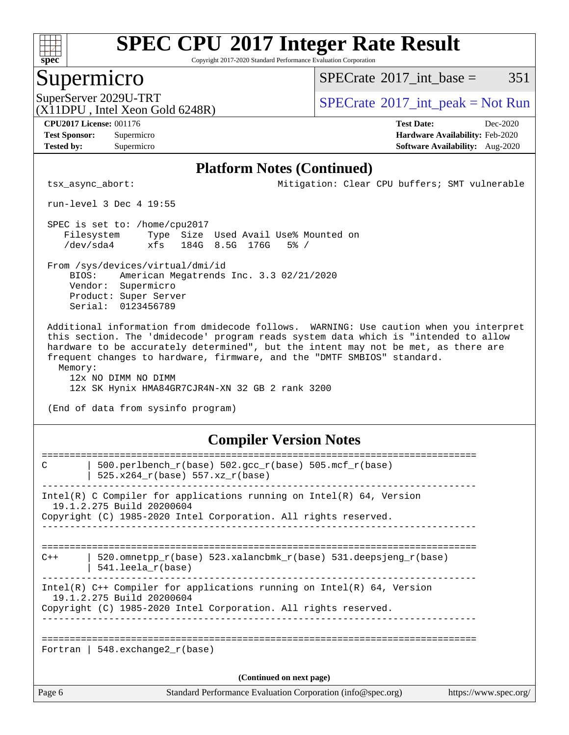

Copyright 2017-2020 Standard Performance Evaluation Corporation

### Supermicro

 $SPECTate$ <sup>®</sup>[2017\\_int\\_base =](http://www.spec.org/auto/cpu2017/Docs/result-fields.html#SPECrate2017intbase) 351

(X11DPU , Intel Xeon Gold 6248R)

SuperServer 2029U-TRT  $SPECrate^{\circ}2017$  $SPECrate^{\circ}2017$ \_int\_peak = Not Run

**[CPU2017 License:](http://www.spec.org/auto/cpu2017/Docs/result-fields.html#CPU2017License)** 001176 **[Test Date:](http://www.spec.org/auto/cpu2017/Docs/result-fields.html#TestDate)** Dec-2020

**[Tested by:](http://www.spec.org/auto/cpu2017/Docs/result-fields.html#Testedby)** Supermicro **[Software Availability:](http://www.spec.org/auto/cpu2017/Docs/result-fields.html#SoftwareAvailability)** Aug-2020

**[Test Sponsor:](http://www.spec.org/auto/cpu2017/Docs/result-fields.html#TestSponsor)** Supermicro **[Hardware Availability:](http://www.spec.org/auto/cpu2017/Docs/result-fields.html#HardwareAvailability)** Feb-2020

### **[Platform Notes \(Continued\)](http://www.spec.org/auto/cpu2017/Docs/result-fields.html#PlatformNotes)**

tsx\_async\_abort: Mitigation: Clear CPU buffers; SMT vulnerable

run-level 3 Dec 4 19:55

 SPEC is set to: /home/cpu2017 Filesystem Type Size Used Avail Use% Mounted on /dev/sda4 xfs 184G 8.5G 176G 5% /

 From /sys/devices/virtual/dmi/id BIOS: American Megatrends Inc. 3.3 02/21/2020 Vendor: Supermicro Product: Super Server Serial: 0123456789

 Additional information from dmidecode follows. WARNING: Use caution when you interpret this section. The 'dmidecode' program reads system data which is "intended to allow hardware to be accurately determined", but the intent may not be met, as there are frequent changes to hardware, firmware, and the "DMTF SMBIOS" standard. Memory:

 12x NO DIMM NO DIMM 12x SK Hynix HMA84GR7CJR4N-XN 32 GB 2 rank 3200

(End of data from sysinfo program)

### **[Compiler Version Notes](http://www.spec.org/auto/cpu2017/Docs/result-fields.html#CompilerVersionNotes)**

| C                        | 500.perlbench_r(base) 502.gcc_r(base) 505.mcf_r(base)                                                 |                       |  |  |
|--------------------------|-------------------------------------------------------------------------------------------------------|-----------------------|--|--|
|                          | 525.x264 r(base) 557.xz r(base)                                                                       |                       |  |  |
|                          | Intel(R) C Compiler for applications running on Intel(R) $64$ , Version                               |                       |  |  |
|                          | 19.1.2.275 Build 20200604<br>Copyright (C) 1985-2020 Intel Corporation. All rights reserved.          |                       |  |  |
|                          |                                                                                                       |                       |  |  |
| $C++$                    | 520.omnetpp $r(base)$ 523.xalancbmk $r(base)$ 531.deepsjeng $r(base)$<br>$541.$ leela $r(base)$       |                       |  |  |
|                          | Intel(R) $C++$ Compiler for applications running on Intel(R) 64, Version<br>19.1.2.275 Build 20200604 |                       |  |  |
|                          | Copyright (C) 1985-2020 Intel Corporation. All rights reserved.                                       |                       |  |  |
|                          |                                                                                                       |                       |  |  |
|                          | Fortran   548.exchange2 $r(base)$                                                                     |                       |  |  |
| (Continued on next page) |                                                                                                       |                       |  |  |
| Page 6                   | Standard Performance Evaluation Corporation (info@spec.org)                                           | https://www.spec.org/ |  |  |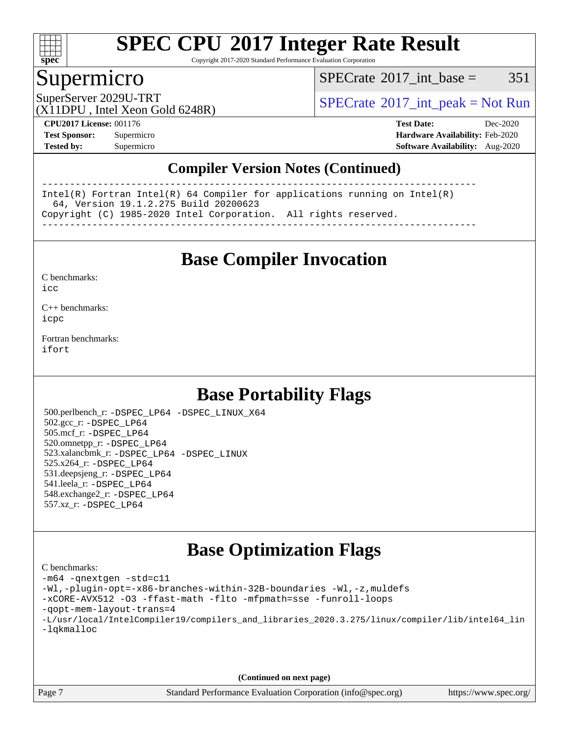

Copyright 2017-2020 Standard Performance Evaluation Corporation

### Supermicro

 $SPECTate@2017\_int\_base = 351$ 

SuperServer 2029U-TRT  $SPECrate^{\circ}2017$  $SPECrate^{\circ}2017$ \_int\_peak = Not Run

(X11DPU , Intel Xeon Gold 6248R)

**[CPU2017 License:](http://www.spec.org/auto/cpu2017/Docs/result-fields.html#CPU2017License)** 001176 **[Test Date:](http://www.spec.org/auto/cpu2017/Docs/result-fields.html#TestDate)** Dec-2020 **[Test Sponsor:](http://www.spec.org/auto/cpu2017/Docs/result-fields.html#TestSponsor)** Supermicro **[Hardware Availability:](http://www.spec.org/auto/cpu2017/Docs/result-fields.html#HardwareAvailability)** Feb-2020 **[Tested by:](http://www.spec.org/auto/cpu2017/Docs/result-fields.html#Testedby)** Supermicro **[Software Availability:](http://www.spec.org/auto/cpu2017/Docs/result-fields.html#SoftwareAvailability)** Aug-2020

### **[Compiler Version Notes \(Continued\)](http://www.spec.org/auto/cpu2017/Docs/result-fields.html#CompilerVersionNotes)**

------------------------------------------------------------------------------ Intel(R) Fortran Intel(R) 64 Compiler for applications running on Intel(R) 64, Version 19.1.2.275 Build 20200623 Copyright (C) 1985-2020 Intel Corporation. All rights reserved. ------------------------------------------------------------------------------

**[Base Compiler Invocation](http://www.spec.org/auto/cpu2017/Docs/result-fields.html#BaseCompilerInvocation)**

[C benchmarks](http://www.spec.org/auto/cpu2017/Docs/result-fields.html#Cbenchmarks):  $i$ cc

[C++ benchmarks:](http://www.spec.org/auto/cpu2017/Docs/result-fields.html#CXXbenchmarks) [icpc](http://www.spec.org/cpu2017/results/res2020q4/cpu2017-20201207-24563.flags.html#user_CXXbase_intel_icpc_c510b6838c7f56d33e37e94d029a35b4a7bccf4766a728ee175e80a419847e808290a9b78be685c44ab727ea267ec2f070ec5dc83b407c0218cded6866a35d07)

[Fortran benchmarks](http://www.spec.org/auto/cpu2017/Docs/result-fields.html#Fortranbenchmarks): [ifort](http://www.spec.org/cpu2017/results/res2020q4/cpu2017-20201207-24563.flags.html#user_FCbase_intel_ifort_8111460550e3ca792625aed983ce982f94888b8b503583aa7ba2b8303487b4d8a21a13e7191a45c5fd58ff318f48f9492884d4413fa793fd88dd292cad7027ca)

# **[Base Portability Flags](http://www.spec.org/auto/cpu2017/Docs/result-fields.html#BasePortabilityFlags)**

 500.perlbench\_r: [-DSPEC\\_LP64](http://www.spec.org/cpu2017/results/res2020q4/cpu2017-20201207-24563.flags.html#b500.perlbench_r_basePORTABILITY_DSPEC_LP64) [-DSPEC\\_LINUX\\_X64](http://www.spec.org/cpu2017/results/res2020q4/cpu2017-20201207-24563.flags.html#b500.perlbench_r_baseCPORTABILITY_DSPEC_LINUX_X64) 502.gcc\_r: [-DSPEC\\_LP64](http://www.spec.org/cpu2017/results/res2020q4/cpu2017-20201207-24563.flags.html#suite_basePORTABILITY502_gcc_r_DSPEC_LP64) 505.mcf\_r: [-DSPEC\\_LP64](http://www.spec.org/cpu2017/results/res2020q4/cpu2017-20201207-24563.flags.html#suite_basePORTABILITY505_mcf_r_DSPEC_LP64) 520.omnetpp\_r: [-DSPEC\\_LP64](http://www.spec.org/cpu2017/results/res2020q4/cpu2017-20201207-24563.flags.html#suite_basePORTABILITY520_omnetpp_r_DSPEC_LP64) 523.xalancbmk\_r: [-DSPEC\\_LP64](http://www.spec.org/cpu2017/results/res2020q4/cpu2017-20201207-24563.flags.html#suite_basePORTABILITY523_xalancbmk_r_DSPEC_LP64) [-DSPEC\\_LINUX](http://www.spec.org/cpu2017/results/res2020q4/cpu2017-20201207-24563.flags.html#b523.xalancbmk_r_baseCXXPORTABILITY_DSPEC_LINUX) 525.x264\_r: [-DSPEC\\_LP64](http://www.spec.org/cpu2017/results/res2020q4/cpu2017-20201207-24563.flags.html#suite_basePORTABILITY525_x264_r_DSPEC_LP64) 531.deepsjeng\_r: [-DSPEC\\_LP64](http://www.spec.org/cpu2017/results/res2020q4/cpu2017-20201207-24563.flags.html#suite_basePORTABILITY531_deepsjeng_r_DSPEC_LP64) 541.leela\_r: [-DSPEC\\_LP64](http://www.spec.org/cpu2017/results/res2020q4/cpu2017-20201207-24563.flags.html#suite_basePORTABILITY541_leela_r_DSPEC_LP64) 548.exchange2\_r: [-DSPEC\\_LP64](http://www.spec.org/cpu2017/results/res2020q4/cpu2017-20201207-24563.flags.html#suite_basePORTABILITY548_exchange2_r_DSPEC_LP64) 557.xz\_r: [-DSPEC\\_LP64](http://www.spec.org/cpu2017/results/res2020q4/cpu2017-20201207-24563.flags.html#suite_basePORTABILITY557_xz_r_DSPEC_LP64)

## **[Base Optimization Flags](http://www.spec.org/auto/cpu2017/Docs/result-fields.html#BaseOptimizationFlags)**

[C benchmarks](http://www.spec.org/auto/cpu2017/Docs/result-fields.html#Cbenchmarks): [-m64](http://www.spec.org/cpu2017/results/res2020q4/cpu2017-20201207-24563.flags.html#user_CCbase_m64-icc) [-qnextgen](http://www.spec.org/cpu2017/results/res2020q4/cpu2017-20201207-24563.flags.html#user_CCbase_f-qnextgen) [-std=c11](http://www.spec.org/cpu2017/results/res2020q4/cpu2017-20201207-24563.flags.html#user_CCbase_std-icc-std_0e1c27790398a4642dfca32ffe6c27b5796f9c2d2676156f2e42c9c44eaad0c049b1cdb667a270c34d979996257aeb8fc440bfb01818dbc9357bd9d174cb8524) [-Wl,-plugin-opt=-x86-branches-within-32B-boundaries](http://www.spec.org/cpu2017/results/res2020q4/cpu2017-20201207-24563.flags.html#user_CCbase_f-x86-branches-within-32B-boundaries_0098b4e4317ae60947b7b728078a624952a08ac37a3c797dfb4ffeb399e0c61a9dd0f2f44ce917e9361fb9076ccb15e7824594512dd315205382d84209e912f3) [-Wl,-z,muldefs](http://www.spec.org/cpu2017/results/res2020q4/cpu2017-20201207-24563.flags.html#user_CCbase_link_force_multiple1_b4cbdb97b34bdee9ceefcfe54f4c8ea74255f0b02a4b23e853cdb0e18eb4525ac79b5a88067c842dd0ee6996c24547a27a4b99331201badda8798ef8a743f577) [-xCORE-AVX512](http://www.spec.org/cpu2017/results/res2020q4/cpu2017-20201207-24563.flags.html#user_CCbase_f-xCORE-AVX512) [-O3](http://www.spec.org/cpu2017/results/res2020q4/cpu2017-20201207-24563.flags.html#user_CCbase_f-O3) [-ffast-math](http://www.spec.org/cpu2017/results/res2020q4/cpu2017-20201207-24563.flags.html#user_CCbase_f-ffast-math) [-flto](http://www.spec.org/cpu2017/results/res2020q4/cpu2017-20201207-24563.flags.html#user_CCbase_f-flto) [-mfpmath=sse](http://www.spec.org/cpu2017/results/res2020q4/cpu2017-20201207-24563.flags.html#user_CCbase_f-mfpmath_70eb8fac26bde974f8ab713bc9086c5621c0b8d2f6c86f38af0bd7062540daf19db5f3a066d8c6684be05d84c9b6322eb3b5be6619d967835195b93d6c02afa1) [-funroll-loops](http://www.spec.org/cpu2017/results/res2020q4/cpu2017-20201207-24563.flags.html#user_CCbase_f-funroll-loops) [-qopt-mem-layout-trans=4](http://www.spec.org/cpu2017/results/res2020q4/cpu2017-20201207-24563.flags.html#user_CCbase_f-qopt-mem-layout-trans_fa39e755916c150a61361b7846f310bcdf6f04e385ef281cadf3647acec3f0ae266d1a1d22d972a7087a248fd4e6ca390a3634700869573d231a252c784941a8) [-L/usr/local/IntelCompiler19/compilers\\_and\\_libraries\\_2020.3.275/linux/compiler/lib/intel64\\_lin](http://www.spec.org/cpu2017/results/res2020q4/cpu2017-20201207-24563.flags.html#user_CCbase_linkpath_6eb3b1b8be403820338b5b82e7a1c217a861a8962ac718a6253be1483b50620487664a39a847caf560d84a6b8bab7cca33d9f414525a12ede1e9473db34a3d08) [-lqkmalloc](http://www.spec.org/cpu2017/results/res2020q4/cpu2017-20201207-24563.flags.html#user_CCbase_qkmalloc_link_lib_79a818439969f771c6bc311cfd333c00fc099dad35c030f5aab9dda831713d2015205805422f83de8875488a2991c0a156aaa600e1f9138f8fc37004abc96dc5)

**(Continued on next page)**

Page 7 Standard Performance Evaluation Corporation [\(info@spec.org\)](mailto:info@spec.org) <https://www.spec.org/>